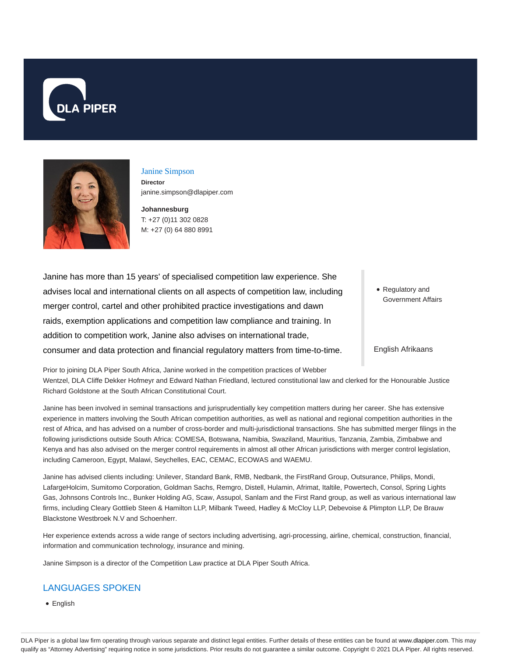



### Janine Simpson **Director**

janine.simpson@dlapiper.com

**Johannesburg** T: +27 (0)11 302 0828 M: +27 (0) 64 880 8991

Janine has more than 15 years' of specialised competition law experience. She advises local and international clients on all aspects of competition law, including merger control, cartel and other prohibited practice investigations and dawn raids, exemption applications and competition law compliance and training. In addition to competition work, Janine also advises on international trade, consumer and data protection and financial regulatory matters from time-to-time.

Regulatory and Government Affairs

English Afrikaans

Prior to joining DLA Piper South Africa, Janine worked in the competition practices of Webber Wentzel, DLA Cliffe Dekker Hofmeyr and Edward Nathan Friedland, lectured constitutional law and clerked for the Honourable Justice Richard Goldstone at the South African Constitutional Court.

Janine has been involved in seminal transactions and jurisprudentially key competition matters during her career. She has extensive experience in matters involving the South African competition authorities, as well as national and regional competition authorities in the rest of Africa, and has advised on a number of cross-border and multi-jurisdictional transactions. She has submitted merger filings in the following jurisdictions outside South Africa: COMESA, Botswana, Namibia, Swaziland, Mauritius, Tanzania, Zambia, Zimbabwe and Kenya and has also advised on the merger control requirements in almost all other African jurisdictions with merger control legislation, including Cameroon, Egypt, Malawi, Seychelles, EAC, CEMAC, ECOWAS and WAEMU.

Janine has advised clients including: Unilever, Standard Bank, RMB, Nedbank, the FirstRand Group, Outsurance, Philips, Mondi, LafargeHolcim, Sumitomo Corporation, Goldman Sachs, Remgro, Distell, Hulamin, Afrimat, Italtile, Powertech, Consol, Spring Lights Gas, Johnsons Controls Inc., Bunker Holding AG, Scaw, Assupol, Sanlam and the First Rand group, as well as various international law firms, including Cleary Gottlieb Steen & Hamilton LLP, Milbank Tweed, Hadley & McCloy LLP, Debevoise & Plimpton LLP, De Brauw Blackstone Westbroek N.V and Schoenherr.

Her experience extends across a wide range of sectors including advertising, agri-processing, airline, chemical, construction, financial, information and communication technology, insurance and mining.

Janine Simpson is a director of the Competition Law practice at DLA Piper South Africa.

# LANGUAGES SPOKEN

• English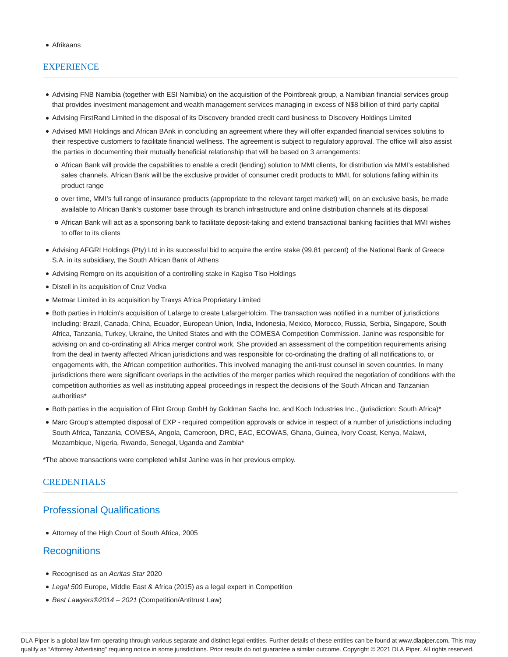#### Afrikaans

## **EXPERIENCE**

- Advising FNB Namibia (together with ESI Namibia) on the acquisition of the Pointbreak group, a Namibian financial services group that provides investment management and wealth management services managing in excess of N\$8 billion of third party capital
- Advising FirstRand Limited in the disposal of its Discovery branded credit card business to Discovery Holdings Limited
- Advised MMI Holdings and African BAnk in concluding an agreement where they will offer expanded financial services solutins to their respective customers to facilitate financial wellness. The agreement is subject to regulatory approval. The office will also assist the parties in documenting their mutually beneficial relationship that will be based on 3 arrangements:
	- African Bank will provide the capabilities to enable a credit (lending) solution to MMI clients, for distribution via MMI's established sales channels. African Bank will be the exclusive provider of consumer credit products to MMI, for solutions falling within its product range
	- over time, MMI's full range of insurance products (appropriate to the relevant target market) will, on an exclusive basis, be made available to African Bank's customer base through its branch infrastructure and online distribution channels at its disposal
	- African Bank will act as a sponsoring bank to facilitate deposit-taking and extend transactional banking facilities that MMI wishes to offer to its clients
- Advising AFGRI Holdings (Pty) Ltd in its successful bid to acquire the entire stake (99.81 percent) of the National Bank of Greece S.A. in its subsidiary, the South African Bank of Athens
- Advising Remgro on its acquisition of a controlling stake in Kagiso Tiso Holdings
- Distell in its acquisition of Cruz Vodka
- Metmar Limited in its acquisition by Traxys Africa Proprietary Limited
- Both parties in Holcim's acquisition of Lafarge to create LafargeHolcim. The transaction was notified in a number of jurisdictions including: Brazil, Canada, China, Ecuador, European Union, India, Indonesia, Mexico, Morocco, Russia, Serbia, Singapore, South Africa, Tanzania, Turkey, Ukraine, the United States and with the COMESA Competition Commission. Janine was responsible for advising on and co-ordinating all Africa merger control work. She provided an assessment of the competition requirements arising from the deal in twenty affected African jurisdictions and was responsible for co-ordinating the drafting of all notifications to, or engagements with, the African competition authorities. This involved managing the anti-trust counsel in seven countries. In many jurisdictions there were significant overlaps in the activities of the merger parties which required the negotiation of conditions with the competition authorities as well as instituting appeal proceedings in respect the decisions of the South African and Tanzanian authorities\*
- Both parties in the acquisition of Flint Group GmbH by Goldman Sachs Inc. and Koch Industries Inc., (jurisdiction: South Africa)\*
- Marc Group's attempted disposal of EXP required competition approvals or advice in respect of a number of jurisdictions including South Africa, Tanzania, COMESA, Angola, Cameroon, DRC, EAC, ECOWAS, Ghana, Guinea, Ivory Coast, Kenya, Malawi, Mozambique, Nigeria, Rwanda, Senegal, Uganda and Zambia\*

\*The above transactions were completed whilst Janine was in her previous employ.

#### CREDENTIALS

# Professional Qualifications

Attorney of the High Court of South Africa, 2005

## **Recognitions**

- Recognised as an Acritas Star 2020
- Legal 500 Europe, Middle East & Africa (2015) as a legal expert in Competition
- Best Lawyers®2014 2021 (Competition/Antitrust Law)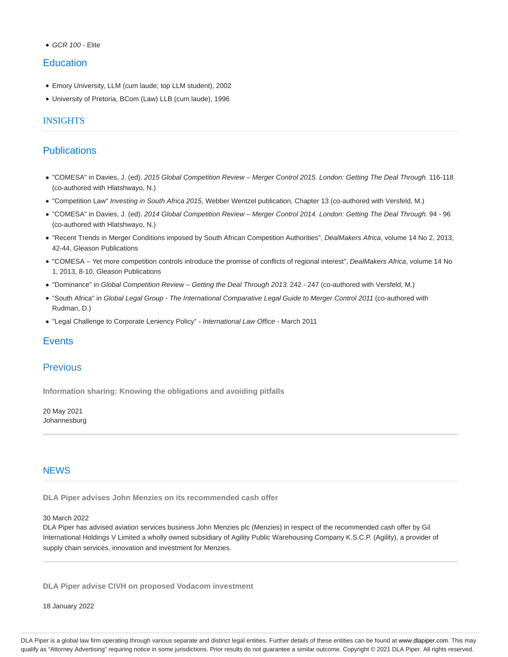$GCR$  100 - Flite

## **Education**

- Emory University, LLM (cum laude; top LLM student), 2002
- University of Pretoria, BCom (Law) LLB (cum laude), 1996

### **INSIGHTS**

## **Publications**

- "COMESA" in Davies, J. (ed). 2015 Global Competition Review Merger Control 2015. London: Getting The Deal Through. 116-118 (co-authored with Hlatshwayo, N.)
- "Competition Law" Investing in South Africa 2015, Webber Wentzel publication, Chapter 13 (co-authored with Versfeld, M.)
- "COMESA" in Davies, J. (ed). 2014 Global Competition Review Merger Control 2014. London: Getting The Deal Through. 94 96 (co-authored with Hlatshwayo, N.)
- . "Recent Trends in Merger Conditions imposed by South African Competition Authorities", DealMakers Africa, volume 14 No 2, 2013, 42-44, Gleason Publications
- . "COMESA Yet more competition controls introduce the promise of conflicts of regional interest", DealMakers Africa, volume 14 No 1, 2013, 8-10, Gleason Publications
- "Dominance" in Global Competition Review Getting the Deal Through 2013. 242 247 (co-authored with Versfeld, M.)
- "South Africa" in Global Legal Group The International Comparative Legal Guide to Merger Control 2011 (co-authored with Rudman, D.)
- "Legal Challenge to Corporate Leniency Policy" International Law Office March 2011

## **Events**

## Previous

**Information sharing: Knowing the obligations and avoiding pitfalls**

20 May 2021 Johannesburg

### **NEWS**

**DLA Piper advises John Menzies on its recommended cash offer**

#### 30 March 2022

DLA Piper has advised aviation services business John Menzies plc (Menzies) in respect of the recommended cash offer by Gil International Holdings V Limited a wholly owned subsidiary of Agility Public Warehousing Company K.S.C.P. (Agility), a provider of supply chain services, innovation and investment for Menzies.

**DLA Piper advise CIVH on proposed Vodacom investment**

18 January 2022

DLA Piper is a global law firm operating through various separate and distinct legal entities. Further details of these entities can be found at www.dlapiper.com. This may qualify as "Attorney Advertising" requiring notice in some jurisdictions. Prior results do not guarantee a similar outcome. Copyright © 2021 DLA Piper. All rights reserved.